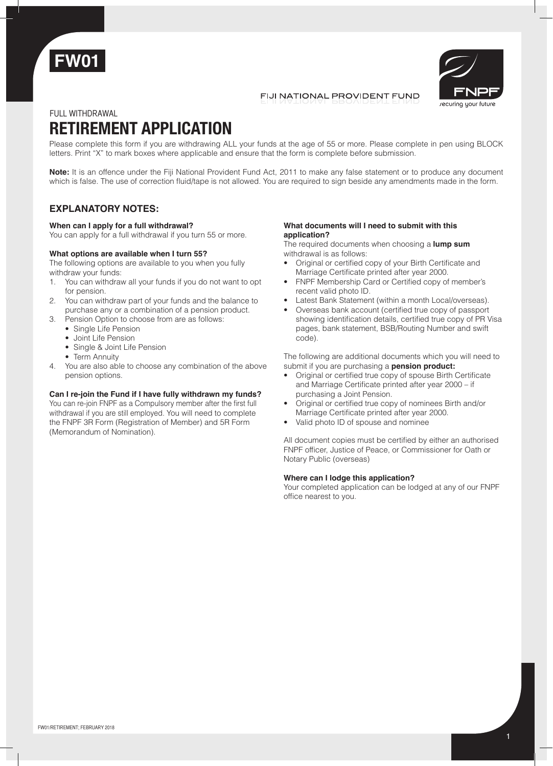



### FIJI NATIONAL PROVIDENT FUND

FULL withdrawal

# **RETIREMENT APPLICATION**

Please complete this form if you are withdrawing ALL your funds at the age of 55 or more. Please complete in pen using BLOCK letters. Print "X" to mark boxes where applicable and ensure that the form is complete before submission.

**Note:** It is an offence under the Fiji National Provident Fund Act, 2011 to make any false statement or to produce any document which is false. The use of correction fluid/tape is not allowed. You are required to sign beside any amendments made in the form.

## **EXPLANATORY NOTES:**

#### **When can I apply for a full withdrawal?**

You can apply for a full withdrawal if you turn 55 or more.

#### **What options are available when I turn 55?**

The following options are available to you when you fully withdraw your funds:

- 1. You can withdraw all your funds if you do not want to opt for pension.
- 2. You can withdraw part of your funds and the balance to purchase any or a combination of a pension product.
- 3. Pension Option to choose from are as follows: • Single Life Pension
	- Joint Life Pension
	- Single & Joint Life Pension
	- Term Annuity
- 4. You are also able to choose any combination of the above pension options.

#### **Can I re-join the Fund if I have fully withdrawn my funds?**

You can re-join FNPF as a Compulsory member after the first full withdrawal if you are still employed. You will need to complete the FNPF 3R Form (Registration of Member) and 5R Form (Memorandum of Nomination).

#### **What documents will I need to submit with this application?**

The required documents when choosing a **lump sum** withdrawal is as follows:

- Original or certified copy of your Birth Certificate and Marriage Certificate printed after year 2000.
- FNPF Membership Card or Certified copy of member's recent valid photo ID.
- Latest Bank Statement (within a month Local/overseas).
- Overseas bank account (certified true copy of passport showing identification details, certified true copy of PR Visa pages, bank statement, BSB/Routing Number and swift code).

The following are additional documents which you will need to submit if you are purchasing a **pension product:**

- Original or certified true copy of spouse Birth Certificate and Marriage Certificate printed after year 2000 – if purchasing a Joint Pension.
- Original or certified true copy of nominees Birth and/or Marriage Certificate printed after year 2000.
- Valid photo ID of spouse and nominee

All document copies must be certified by either an authorised FNPF officer, Justice of Peace, or Commissioner for Oath or Notary Public (overseas)

#### **Where can I lodge this application?**

Your completed application can be lodged at any of our FNPF office nearest to you.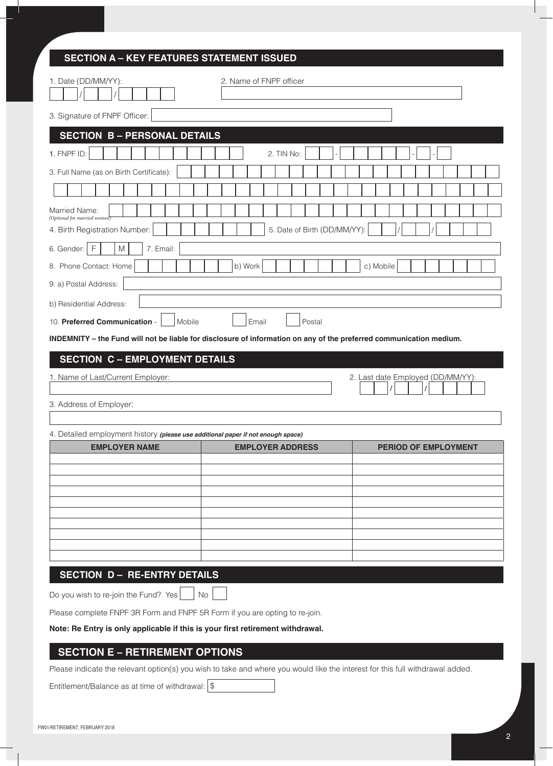# **SECTION A – KEY FEATURES STATEMENT ISSUED**

| 1. Date (DD/MM/YY):                                                                                                                                   | 2. Name of FNPF officer      |                                   |
|-------------------------------------------------------------------------------------------------------------------------------------------------------|------------------------------|-----------------------------------|
| 3. Signature of FNPF Officer:                                                                                                                         |                              |                                   |
| <b>SECTION B - PERSONAL DETAILS</b>                                                                                                                   |                              |                                   |
| 1. FNPF ID:                                                                                                                                           | 2. TIN No:                   |                                   |
| 3. Full Name (as on Birth Certificate):                                                                                                               |                              |                                   |
|                                                                                                                                                       |                              |                                   |
| Married Name:<br>(Optional for married women)                                                                                                         |                              |                                   |
| 4. Birth Registration Number:                                                                                                                         | 5. Date of Birth (DD/MM/YY): |                                   |
| $\mathsf{F}$<br>$\mathsf{M}% _{T}=\mathsf{M}_{T}\!\left( a,b\right) ,\ \mathsf{M}_{T}=\mathsf{M}_{T}\!\left( a,b\right) ,$<br>7. Email:<br>6. Gender: |                              |                                   |
| 8. Phone Contact: Home                                                                                                                                | b) Work                      | c) Mobile                         |
| 9. a) Postal Address:                                                                                                                                 |                              |                                   |
| b) Residential Address:                                                                                                                               |                              |                                   |
| 10. Preferred Communication -<br>Mobile                                                                                                               | Email<br>Postal              |                                   |
| INDEMNITY - the Fund will not be liable for disclosure of information on any of the preferred communication medium.                                   |                              |                                   |
| <b>SECTION C - EMPLOYMENT DETAILS</b>                                                                                                                 |                              |                                   |
| 1. Name of Last/Current Employer:                                                                                                                     |                              | 2. Last date Employed (DD/MM/YY): |
|                                                                                                                                                       |                              |                                   |
| 3. Address of Employer:                                                                                                                               |                              |                                   |
| 4. Detailed employment history (please use additional paper if not enough space)                                                                      |                              |                                   |
| <b>EMPLOYER NAME</b>                                                                                                                                  | <b>EMPLOYER ADDRESS</b>      | <b>PERIOD OF EMPLOYMENT</b>       |
|                                                                                                                                                       |                              |                                   |
|                                                                                                                                                       |                              |                                   |
|                                                                                                                                                       |                              |                                   |
|                                                                                                                                                       |                              |                                   |
|                                                                                                                                                       |                              |                                   |
|                                                                                                                                                       |                              |                                   |
| <b>SECTION D- RE-ENTRY DETAILS</b>                                                                                                                    |                              |                                   |
| Do you wish to re-join the Fund? Yes<br><b>No</b>                                                                                                     |                              |                                   |
| Please complete FNPF 3R Form and FNPF 5R Form if you are opting to re-join.                                                                           |                              |                                   |
| Note: Re Entry is only applicable if this is your first retirement withdrawal.                                                                        |                              |                                   |
| <b>SECTION E - RETIREMENT OPTIONS</b>                                                                                                                 |                              |                                   |
| Please indicate the relevant option(s) you wish to take and where you would like the interest for this full withdrawal added.                         |                              |                                   |
| Entitlement/Balance as at time of withdrawal: $\frac{1}{3}$                                                                                           |                              |                                   |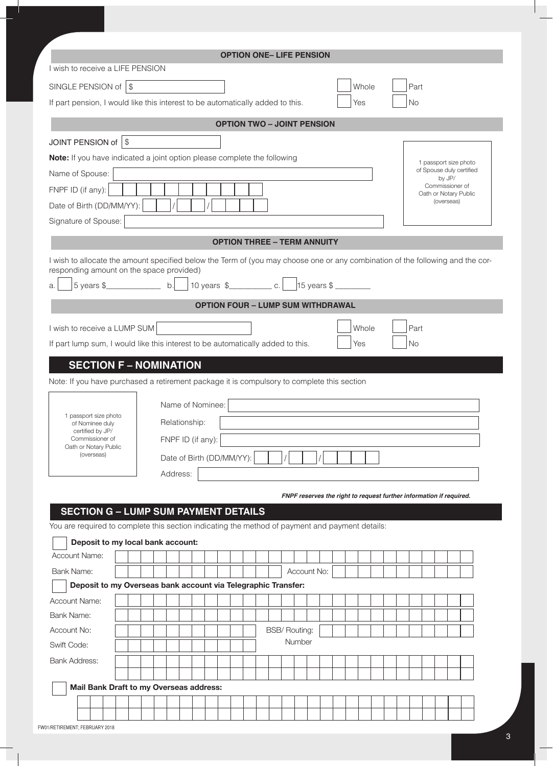| I wish to receive a LIFE PENSION                                                                                                     |                                    |          |  |  |                           |  |  | <b>OPTION ONE- LIFE PENSION</b>                                     |             |  |  |       |  |  |           |  |            |                                          |  |
|--------------------------------------------------------------------------------------------------------------------------------------|------------------------------------|----------|--|--|---------------------------|--|--|---------------------------------------------------------------------|-------------|--|--|-------|--|--|-----------|--|------------|------------------------------------------|--|
|                                                                                                                                      |                                    |          |  |  |                           |  |  |                                                                     |             |  |  |       |  |  |           |  |            |                                          |  |
| SINGLE PENSION of $ $ \$                                                                                                             |                                    |          |  |  |                           |  |  |                                                                     |             |  |  | Whole |  |  | Part      |  |            |                                          |  |
| If part pension, I would like this interest to be automatically added to this.                                                       |                                    |          |  |  |                           |  |  |                                                                     |             |  |  | Yes   |  |  | <b>No</b> |  |            |                                          |  |
|                                                                                                                                      |                                    |          |  |  |                           |  |  | <b>OPTION TWO - JOINT PENSION</b>                                   |             |  |  |       |  |  |           |  |            |                                          |  |
| JOINT PENSION of \$                                                                                                                  |                                    |          |  |  |                           |  |  |                                                                     |             |  |  |       |  |  |           |  |            |                                          |  |
| Note: If you have indicated a joint option please complete the following                                                             |                                    |          |  |  |                           |  |  |                                                                     |             |  |  |       |  |  |           |  |            | 1 passport size photo                    |  |
| Name of Spouse:                                                                                                                      |                                    |          |  |  |                           |  |  |                                                                     |             |  |  |       |  |  |           |  | by JP/     | of Spouse duly certified                 |  |
| FNPF ID (if any):                                                                                                                    |                                    |          |  |  |                           |  |  |                                                                     |             |  |  |       |  |  |           |  |            | Commissioner of<br>Oath or Notary Public |  |
| Date of Birth (DD/MM/YY):                                                                                                            |                                    |          |  |  |                           |  |  |                                                                     |             |  |  |       |  |  |           |  | (overseas) |                                          |  |
| Signature of Spouse:                                                                                                                 |                                    |          |  |  |                           |  |  |                                                                     |             |  |  |       |  |  |           |  |            |                                          |  |
|                                                                                                                                      |                                    |          |  |  |                           |  |  | <b>OPTION THREE - TERM ANNUITY</b>                                  |             |  |  |       |  |  |           |  |            |                                          |  |
| I wish to allocate the amount specified below the Term of (you may choose one or any combination of the following and the cor-       |                                    |          |  |  |                           |  |  |                                                                     |             |  |  |       |  |  |           |  |            |                                          |  |
| responding amount on the space provided)                                                                                             |                                    |          |  |  |                           |  |  |                                                                     |             |  |  |       |  |  |           |  |            |                                          |  |
| 5 years \$<br>a.                                                                                                                     |                                    |          |  |  |                           |  |  |                                                                     |             |  |  |       |  |  |           |  |            |                                          |  |
|                                                                                                                                      |                                    |          |  |  |                           |  |  | <b>OPTION FOUR - LUMP SUM WITHDRAWAL</b>                            |             |  |  |       |  |  |           |  |            |                                          |  |
| I wish to receive a LUMP SUM                                                                                                         |                                    |          |  |  |                           |  |  |                                                                     |             |  |  | Whole |  |  | Part      |  |            |                                          |  |
| If part lump sum, I would like this interest to be automatically added to this.                                                      |                                    |          |  |  |                           |  |  |                                                                     |             |  |  | Yes   |  |  | Nο        |  |            |                                          |  |
|                                                                                                                                      |                                    |          |  |  |                           |  |  |                                                                     |             |  |  |       |  |  |           |  |            |                                          |  |
| 1 passport size photo<br>of Nominee duly                                                                                             | Relationship:<br>FNPF ID (if any): |          |  |  |                           |  |  |                                                                     |             |  |  |       |  |  |           |  |            |                                          |  |
| certified by JP/<br>Commissioner of                                                                                                  |                                    |          |  |  | Date of Birth (DD/MM/YY): |  |  |                                                                     |             |  |  |       |  |  |           |  |            |                                          |  |
| Oath or Notary Public<br>(overseas)                                                                                                  |                                    |          |  |  |                           |  |  |                                                                     |             |  |  |       |  |  |           |  |            |                                          |  |
|                                                                                                                                      |                                    |          |  |  |                           |  |  |                                                                     |             |  |  |       |  |  |           |  |            |                                          |  |
|                                                                                                                                      |                                    | Address: |  |  |                           |  |  |                                                                     |             |  |  |       |  |  |           |  |            |                                          |  |
|                                                                                                                                      |                                    |          |  |  |                           |  |  | FNPF reserves the right to request further information if required. |             |  |  |       |  |  |           |  |            |                                          |  |
| <b>SECTION G - LUMP SUM PAYMENT DETAILS</b>                                                                                          |                                    |          |  |  |                           |  |  |                                                                     |             |  |  |       |  |  |           |  |            |                                          |  |
|                                                                                                                                      |                                    |          |  |  |                           |  |  |                                                                     |             |  |  |       |  |  |           |  |            |                                          |  |
| You are required to complete this section indicating the method of payment and payment details:<br>Deposit to my local bank account: |                                    |          |  |  |                           |  |  |                                                                     |             |  |  |       |  |  |           |  |            |                                          |  |
| <b>Account Name:</b>                                                                                                                 |                                    |          |  |  |                           |  |  |                                                                     |             |  |  |       |  |  |           |  |            |                                          |  |
| Bank Name:                                                                                                                           |                                    |          |  |  |                           |  |  |                                                                     | Account No: |  |  |       |  |  |           |  |            |                                          |  |
| Deposit to my Overseas bank account via Telegraphic Transfer:                                                                        |                                    |          |  |  |                           |  |  |                                                                     |             |  |  |       |  |  |           |  |            |                                          |  |
| <b>Account Name:</b>                                                                                                                 |                                    |          |  |  |                           |  |  |                                                                     |             |  |  |       |  |  |           |  |            |                                          |  |
| <b>Bank Name:</b>                                                                                                                    |                                    |          |  |  |                           |  |  |                                                                     |             |  |  |       |  |  |           |  |            |                                          |  |
| Account No:                                                                                                                          |                                    |          |  |  |                           |  |  | <b>BSB/ Routing:</b><br>Number                                      |             |  |  |       |  |  |           |  |            |                                          |  |
| Swift Code:                                                                                                                          |                                    |          |  |  |                           |  |  |                                                                     |             |  |  |       |  |  |           |  |            |                                          |  |
| <b>Bank Address:</b>                                                                                                                 |                                    |          |  |  |                           |  |  |                                                                     |             |  |  |       |  |  |           |  |            |                                          |  |
| Mail Bank Draft to my Overseas address:                                                                                              |                                    |          |  |  |                           |  |  |                                                                     |             |  |  |       |  |  |           |  |            |                                          |  |
|                                                                                                                                      |                                    |          |  |  |                           |  |  |                                                                     |             |  |  |       |  |  |           |  |            |                                          |  |